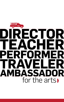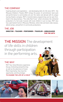## THE COMPANY

Inspiring dreams and aspirations — and developing skills for life since 1973 —the Missoula Children's Theatre (MCT) brings the power of commitment, hard work and performance to communities all over the nation and abroad with its unique touring theatre company. MCT's transformative programming can be seen firsthand in the documentary "The Little Red Truck," which chronicles the whirlwind production of a full-scale musical with local children in just six days. MCT also has a permanent home in Missoula, Montana, where kids and teens take classes, attend camps, and perform in community productions.

#### THE JOB **DIRECTOR + TEACHER + PERFORMER + TRAVELER + AMBASSADOR FOR THE ARTS**

**THE MISSION** The development of life skills in children through participation in the performing arts.

## THE WHY

MCT Tour Actor/Directors experience the joy of directing and performing as well as the adventure of travel. Most importantly, they have the opportunity–and the privilege– TO CHANGE THE LIFE OF A CHILD.





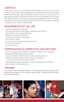# **LOGISTICS**

A tour team consists of 2 professional Actor/Directors. Each team visits a new community every week; they are responsible for auditioning, casting, and rehearsing 50-60 local school age children for approximately 20 hours over a week's time. The hard work culminates in two performances of an hour-long musical with one of the MCT Actor/Directors performing a supporting role alongside the children. The other actor/director serves as the primary director. MCT teams also conduct educational workshops as part of each residency week.

# REQUIREMENTS OF THE JOB

- well-rounded performance skills
- I the potential to work successfully and ethically with children
- I the ability to communicate effectively
- physical and emotional stamina
- maturity and problem-solving skills
- an interest in travel
- a valid driver's license and good driving record
- a current US passport
- a sense of humor

# COMPENSATION IS COMPETITIVE AND INCLUDES

- **a** first year guaranteed minimum of \$350 per residency week completed
- housing provided during residency week
- use of a company-owned truck for travel to residency weeks
- $\bullet$  job/travel-related expenses during the course of touring (*travel to and from Missoula not included)*
- **I** group health insurance benefits for contracts lasting at least 5 months
- percentage of merchandise sales

## TRAINING

Two intensive weeks in beautiful Missoula, MT...learning MCT teaching methods, show blocking/choreography and a full range of support tasks. Housing and transportation provided during training.

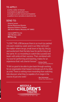# TO APPLY:

- write a letter of interest
- complete an application form
- **I** include a current resumé and headshot
- **▶ audition live or provide an electronic link**

### SEND TO:

Victoria Larson Human Resources Director Missoula Children's Theatre 200 North Adams, Missoula, MT 59802

vlarson@MCTinc.org 406.728.1911 x202 **MCTinc.org**

experience that I will cherish forever."<sub>- Kelsey Seals</sub> "I LOVE THIS JOB because there is so much joy packed into each residency week (and in our little red truck)! No matter where we go, small town or big city, the joy and excitement that the kids have for performing is all the same. It's so rewarding to watch kids succeed and beam with pride at their success. That, combined with my love for performing and teaching, makes for an Former Tour Actor/Director

- Bex Schmelzel "It felt so good to be able to give back through working for an organization that helped me break out of my shell as a kid. There is nothing more rewarding than watching kids discover what they're capable of on stage in the course of just one week."

Former Tour Actor/Director



A PRODUCTION OF MCT. INC.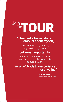# Join The **TOUR**

# "I learned a tremendous amount about myself,

my endurance, my stamina, my passion, my talents,

# but most importantly,

the enormous wave of influence from this program that kids receive all over the world.

# I wouldn't trade this experience for anything."

- Kristin Gilbert Former Tour Actor/Director